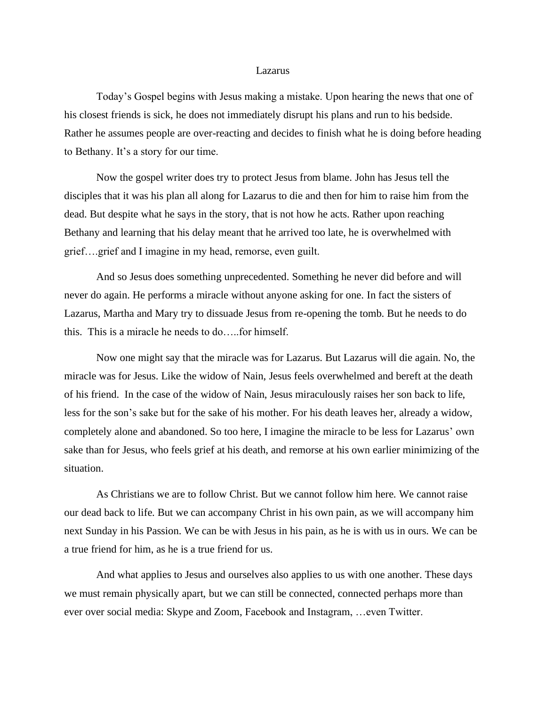## Lazarus

Today's Gospel begins with Jesus making a mistake. Upon hearing the news that one of his closest friends is sick, he does not immediately disrupt his plans and run to his bedside. Rather he assumes people are over-reacting and decides to finish what he is doing before heading to Bethany. It's a story for our time.

Now the gospel writer does try to protect Jesus from blame. John has Jesus tell the disciples that it was his plan all along for Lazarus to die and then for him to raise him from the dead. But despite what he says in the story, that is not how he acts. Rather upon reaching Bethany and learning that his delay meant that he arrived too late, he is overwhelmed with grief….grief and I imagine in my head, remorse, even guilt.

And so Jesus does something unprecedented. Something he never did before and will never do again. He performs a miracle without anyone asking for one. In fact the sisters of Lazarus, Martha and Mary try to dissuade Jesus from re-opening the tomb. But he needs to do this. This is a miracle he needs to do…..for himself.

Now one might say that the miracle was for Lazarus. But Lazarus will die again. No, the miracle was for Jesus. Like the widow of Nain, Jesus feels overwhelmed and bereft at the death of his friend. In the case of the widow of Nain, Jesus miraculously raises her son back to life, less for the son's sake but for the sake of his mother. For his death leaves her, already a widow, completely alone and abandoned. So too here, I imagine the miracle to be less for Lazarus' own sake than for Jesus, who feels grief at his death, and remorse at his own earlier minimizing of the situation.

As Christians we are to follow Christ. But we cannot follow him here. We cannot raise our dead back to life. But we can accompany Christ in his own pain, as we will accompany him next Sunday in his Passion. We can be with Jesus in his pain, as he is with us in ours. We can be a true friend for him, as he is a true friend for us.

And what applies to Jesus and ourselves also applies to us with one another. These days we must remain physically apart, but we can still be connected, connected perhaps more than ever over social media: Skype and Zoom, Facebook and Instagram, …even Twitter.